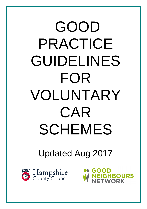# GOOD PRACTICE GUIDELINES FOR VOLUNTARY CAR SCHEMES

# Updated Aug 2017

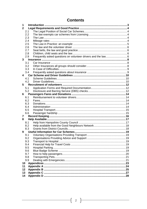# **Contents**

| 1              |     |  |
|----------------|-----|--|
| $\mathbf{2}$   |     |  |
|                | 2.1 |  |
|                | 2.2 |  |
|                | 2.3 |  |
|                | 2.4 |  |
|                | 2.5 |  |
|                | 2.6 |  |
|                | 2.7 |  |
|                | 2.8 |  |
|                | 2.9 |  |
| 3              |     |  |
|                | 3.1 |  |
|                | 3.2 |  |
|                | 3.3 |  |
|                | 3.4 |  |
| $\overline{4}$ |     |  |
|                | 4.1 |  |
|                | 4.2 |  |
| 5              |     |  |
|                | 5.1 |  |
|                | 5.2 |  |
| 6              |     |  |
|                | 6.1 |  |
|                | 6.2 |  |
|                | 6.3 |  |
|                | 6.4 |  |
|                | 6.5 |  |
| 7              | 6.6 |  |
| 8              |     |  |
|                | 8.1 |  |
|                | 8.2 |  |
|                | 8.3 |  |
| 9              |     |  |
|                | 9.1 |  |
|                | 9.2 |  |
|                | 9.3 |  |
|                | 9.4 |  |
|                | 9.5 |  |
|                | 9.6 |  |
|                | 9.7 |  |
|                | 9.8 |  |
|                | 9.9 |  |
| 10             |     |  |
| 11             |     |  |
| 12             |     |  |
| 13             |     |  |
| 14             |     |  |

ſ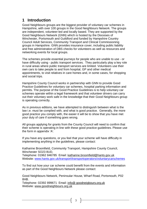# **1 Introduction**

Good Neighbours groups are the biggest provider of voluntary car schemes in Hampshire, with over 100 groups in the Good Neighbours Network. The groups are independent, volunteer-led and locally based. They are supported by the Good Neighbours Network (GNN) which is hosted by the Dioceses of Winchester, Portsmouth and Guildford and funded by Hampshire Country Council Adult Services, Community Transport and Clinical Commissioning groups in Hampshire. GNN provides insurance cover, including public liability and free administration of DBS checks for volunteers as well as resources and networking events for local groups.

The schemes provide essential journeys for people who are unable to use - or have difficulty using - public transport services. They particularly play a key role in rural areas where public transport services are limited. Volunteers use their own cars to take people to and from hospital, GP and other medical appointments, to visit relatives in care homes and, in some cases, for shopping and social trips.

Hampshire County Council works in partnership with GNN to provide Good Practice Guidelines for voluntary car schemes, hospital parking information and permits. The purpose of the Good Practice Guidelines is to help voluntary car schemes operate within a legal framework and that volunteer drivers can carry out their voluntary work safe in the knowledge that their Good Neighbours group is operating correctly.

As in previous editions, we have attempted to distinguish between what is the law i.e. must be complied with, and what is good practice. Generally, the more good practice you comply with, the easier it will be to show that you have met your duty of care if something goes wrong.

All groups applying for grants from the County Council will need to confirm that their scheme is operating in line with these good practice guidelines. Please use the form in appendix 'A'.

If you have any questions, or you feel that your scheme will have difficulty in implementing anything in the guidelines, please contact:

Katharine Broomfield, Community Transport, Hampshire County Council, Winchester SO23 8UD,

Telephone: 01962 846785 Email: [katharine.broomfield@hants.gov.uk](mailto:katharine.broomfield@hants.gov.uk) Website: [www.hants.gov.uk/transport/transportoperators/voluntarycarschemes](http://www.hants.gov.uk/transport/transportoperators/voluntarycarschemes)

To find out how your car scheme could benefit from the events and information as part of the Good Neighbours Network please contact:

Good Neighbours Network, Peninsular House, Wharf Road, Portsmouth, P02 8HB.

Telephone: 02392 899671 Email: info@ goodneigbours.org.uk Website: [www.goodneighbours.org.uk](http://www.goodneighbours.org.uk)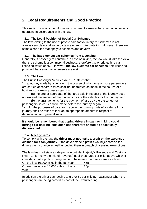# **2 Legal Requirements and Good Practice**

This section contains the information you need to ensure that your car scheme is operating in accordance with the law.

#### **2.1 The Legal Position of Social Car Schemes**

The law relating to the use of private cars for voluntary car schemes is not always very clear and some parts are open to interpretation. However, there are some clear rules that apply to schemes and drivers:

#### **2.2 The law exempts car schemes from Licensing**

Generally, if passengers contribute in cash or in kind, the law would take the view that the scheme is a commercial business, therefore taxi or private hire car licensing would apply. However, **the law exempts car schemes** from licensing, provided that certain requirements are met.

#### **2.3 The Law**

The Public Passenger Vehicles Act 1981 states that:

"… a journey made by a vehicle in the course of which one or more passengers are carried at separate fares shall not be treated as made in the course of a business of carrying passengers if –

(a) the fare or aggregate of the fares paid in respect of the journey does not exceed the amount of the running costs of the vehicles for the journey; and

(b) the arrangements for the payment of fares by the passenger or passengers so carried were made before the journey began "and for the purposes of paragraph above the running costs of a vehicle for a journey shall be taken to include an appropriate amount in respect of depreciation and general wear."

#### **It should be remembered that tipping drivers in cash or in kind could infringe car sharing legislation and therefore should be specifically discouraged.**

#### **2.4 Mileage rates**

To comply with the law, **the driver must not make a profit on the expenses claimed for each journey**. If the driver made a profit it would jeopardise the drivers car insurance as well as putting them in breach of licensing exemptions.

The law does not state a rate per mile but Her Majesty's Revenue and Customs ('HMRC', formerly the Inland Revenue) publishes rates per mile, above which it considers that a profit is being made. These maximum rates are as follows:

| On the first 10,000 miles in the tax year | 45 <sub>p</sub> |
|-------------------------------------------|-----------------|
| On each mile over 10,000 miles in the tax | 25p             |
| vear                                      |                 |

In addition the driver can receive a further 5p per mile per passenger when the passengers are being carried as part of their volunteering.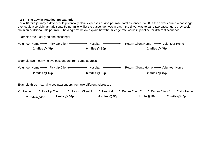#### **2.5 The Law in Practice: an example**

For a 10 mile journey a driver could potentially claim expenses of 45p per mile, total expenses £4.50. If the driver carried a passenger they could also claim an additional 5p per mile whilst the passenger was in car. If the driver was to carry two passengers they could claim an additional 10p per mile. The diagrams below explain how the mileage rate works in practice for different scenarios.

Example One – carrying one passenger

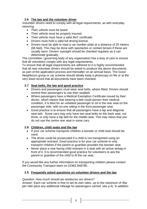#### **2.6 The law and the volunteer driver**

Volunteer drivers need to comply with all legal requirements, as with everyday motoring:

- Their vehicle must be taxed.
- Their vehicle must be properly insured.
- Their vehicle must have a valid MoT certificate.
- Drivers must hold a valid full driving licence.
- Drivers must be able to read a car number plate at a distance of 20 meters (66 feet). This may be done with spectacles or contact lenses if these are usually worn. Drivers' eyesight should be checked regularly as it can deteriorate gradually.

The committee / governing body of any organisation has a duty of care to ensure that all volunteers comply with any legal requirements.

To ensure that all legal requirements are adhered to it is highly recommended that all new volunteer drivers should be asked to produce the above documents as part of the application process and thereafter on an annual basis. The Good Neighbours group or car scheme should ideally keep a photocopy on file or at the very least record that all documents have been checked.

#### **2.7 Seat belts, the law and good practice**

- Drivers and passengers must wear seat belts, where fitted. Drivers should remind their passengers to use their seatbelt.
- Where passengers have a Medical Exemption Certificate issued by their doctor, which means that wearing a belt could worsen their medical condition, it is best for an unbelted passenger to sit in the rear seat on the passenger side, with no-one sitting in the front passenger seat.
- Good practice is to ensure that all passengers have a lap and diagonal seat belt. Some cars may only have two seat belts on the back seat, not three, or only have a lap belt for the middle seat. This may mean that you do not use the centre rear seat in some cars.

#### **2.8 Children, child seats and the law**

- If your car scheme transports children a booster or child seat should be used.
- The driver could be prosecuted if a child is not transported using an appropriate restraint. Good practice is for your car scheme to only transport children if the parent or guardian provides the booster seat.
- Never place a rear-facing child restraint in a seat with an active airbag in front of it. It is recommended good practice for volunteers to ask the parent or guardian of the child to fit the car seat.

If you would like any further information on transporting children please contact the Community Transport team on 01962 846785.

#### **2.9 Frequently asked questions on volunteer drivers and the law**

#### *Question: How much should we reimburse our drivers?*

*Answer:* Each car scheme is free to set its own rates, up to the maximum of 45p per mile (plus any additional mileage for passengers carried, see p.4). In addition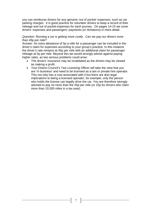you can reimburse drivers for any genuine 'out of pocket' expenses, such as car parking charges. It is good practice for volunteer drivers to keep a record of their mileage and out of pocket expenses for each journey. On pages 14-15 we cover drivers' expenses and passengers' payments (or donations) in more detail.

#### *Question: Running a car is getting more costly. Can we pay our drivers more than 45p per mile?*

*Answer:* An extra allowance of 5p a mile for a passenger can be included in the driver's claim for expenses according to your group's practice. In this instance the driver's rate remains at 45p per mile with an additional claim for passenger mileage at 5p per mile. Beyond this we would strongly advise against paying higher rates, as two serious problems could arise:

- The drivers' insurance may be invalidated as the drivers may be viewed as making a profit.
- Your District Council's Taxi Licensing Officer will take the view that you are 'in business' and need to be licensed as a taxi or private hire operator. This not only has a cost associated with it but there are also legal implications to being a licensed operator, for example, only the person who holds the license can legally drive the car. You are therefore strongly advised to pay no more than the 45p per mile (or 25p for drivers who claim more than 10,000 miles in a tax year).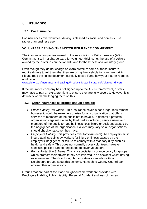# **3 Insurance**

#### **3.1 Car Insurance**

For insurance cover volunteer driving is classed as social and domestic use rather than business use.

#### **VOLUNTEER DRIVING: THE MOTOR INSURANCE COMMITMENT**

The insurance companies named in the Association of British Insurers (ABI) Commitment will not charge extra for volunteer driving, i.e. the use of a vehicle owned by the driver in connection with and for the benefit of a voluntary group.

Even though they do not charge an extra premium some of these insurers require drivers to tell them that they are using their vehicle for volunteer driving. Please read the linked document carefully to see if and how your insurer requires notification:

[www.abi.org.uk/Insurance-and-savings/Products/Motor-insurance/Volunteer-drivers](http://www.abi.org.uk/Insurance-and-savings/Products/Motor-insurance/Volunteer-drivers)

If the insurance company has not signed up to the ABI's Commitment, drivers may have to pay an extra premium to ensure they are fully covered. However it is definitely worth challenging them on this.

#### **3.2 Other Insurances all groups should consider**

- *Public Liability Insurance* This insurance cover is not a legal requirement, however it would be extremely unwise for any organisation that offers services to members of the public not to have it. In general it protects organisations against claims by third parties including service users and members of the public for death, illness, loss, injury or accident caused by the negligence of the organisation. Policies may vary so all organisations should check what cover they have.
- *Employers Liability* (this provides cover for volunteers). All employers must insure against claims by workers for injury or illness caused by the employers' negligence or failure to comply with a statutory duty such as health and safety. This does not normally cover volunteers, however specialist policies can be negotiated to cover volunteers.
- *Bonus Protection Scheme*: This is a specialist insurance policy for groups which protects their drivers if they are involved in an accident whilst driving as a volunteer. The Good Neighbours Network can advise Good Neighbours groups about this scheme. Hampshire County Council can advise other organisations.

Groups that are part of the Good Neighbours Network are provided with Employers Liability, Public Liability, Personal Accident and loss of money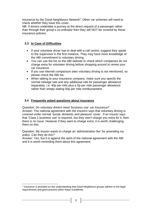insurance by the Good Neighbours Network<sup>1</sup>. Other car schemes will need to check whether they have this cover.

NB: If drivers undertake a journey at the direct request of a passenger rather than through their group's co-ordinator then they will NOT be covered by these insurance policies.

#### **3.3 In Case of Difficulties**

- If your volunteer driver has to deal with a call centre, suggest they speak to the supervisor in the first instance. They may have more knowledge of the ABI commitment to voluntary driving.
- You can use the list on the ABI website to check which companies do not charge extra for volunteer driving before shopping around to renew your car insurance.
- If you use internet comparison sites voluntary driving is not mentioned, so please check the ABI list.
- When talking to your insurance company, make sure you specify the normal mileage rate and any additional rate for passenger allowance separately, i.e. 45p per mile plus a 5p per mile passenger allowance rather than simply stating 50p per mile reimbursement.

#### **3.4 Frequently asked questions about insurance**

*Question: Do voluntary drivers need 'business use' car insurance? Answer:* The national agreement with the insurers says that voluntary driving is covered under normal 'social, domestic and pleasure' cover. If an insurer says that 'Class 1 business use' is required, but they won't charge you extra for it, then there is no issue. However if they want to charge extra, it is worth challenging them on this.

#### *Question: My insurer wants to charge an 'administration fee' for amending my policy. Can they do this?*

*Answer:* Yes, but it is against the spirit of the national agreement with the ABI and it is worth reminding them about this agreement.

 $\overline{a}$  $1$  Insurance is provided on the understanding that Good Neighbours groups adhere to the legal requirements and good practice within these Guidelines.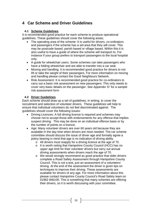# **4 Car Scheme and Driver Guidelines**

#### **4.1 Scheme Guidelines**

It is recommended good practice for each scheme to produce operational guidelines. These guidelines should cover the following areas;

- The operating area of the scheme: It is useful for drivers, co-ordinators and passengers if the scheme has a set area that they will cover. This may be postcode based, parish based or village based. Within this it is also useful to have a guide of where the scheme will transport to. For instance if your group prefers to transport passengers to the local hospital only.
- A guide for wheelchair users. Some schemes can take passengers who have a folding wheelchair and are able to transfer into a car seat.
- Moving and handling. It is recommended good practice for drivers to not lift or take the weight of their passengers. For more information on moving and handling please contact the Good Neighbours Network.
- Risk Assessment: It is recommended good practice for co-ordinators to carry out a basic risk assessment on new passengers. This only needs to cover very basic details on the passenger. See Appendix 'D' for a sample risk assessment form

#### **4.2 Driver Guidelines**

Each scheme should draw up a set of guidelines, in writing, to cover the recruitment and selection of volunteer drivers. These guidelines will help to ensure that individual volunteers do not feel discriminated against. The guidelines should cover the following issues:

- Driving Licences: A full driving licence is required and schemes may choose not to accept those with endorsements for any offence that implies suspect driving. This may be done on an individual offence basis or by the number of points on a licence.
- Age: Many volunteer drivers are over 60 years old because they are available in the day time when drivers are most needed. The car scheme committee should discuss the issue of driver age and formally agree a policy bearing in mind that age is no indication of driving ability.
	- o All drivers must reapply for a driving licence at the age of 70.
	- o It is worth noting that Hampshire County Council (HCC) has no upper age limit for their volunteer drivers but carry out annual driving assessments when drivers reach the age of 70.
	- o We would strongly recommend as good practice that older drivers complete a Road Safety Assessment through Hampshire County Council. This is not a test, just an assessment of a volunteers' driving. At the end of the assessment the driver is given tips on techniques to improve their driving. These assessments are available for drivers of any age. For more information about this please contact Hampshire County Council's Road Safety team on 01962 846100. This is something that many schemes are offering their drivers, so it is worth discussing with your committee.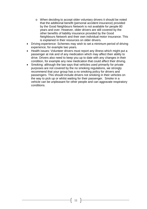- o When deciding to accept older voluntary drivers it should be noted that the additional benefit (personal accident insurance) provided by the Good Neighbours Network is not available for people 80 years and over. However, older drivers are still covered by the other benefits of liability insurance provided by the Good Neighbours Network and their own individual motor insurance. This is explained in their resources on older drivers.
- Driving experience: Schemes may wish to set a minimum period of driving experience, for example two years.
- Health issues: Volunteer drivers must report any illness which might put a passenger at risk and of any medication which may affect their ability to drive. Drivers also need to keep you up to date with any changes in their condition, for example any new medication that could affect their driving.
- Smoking: although the law says that vehicles used primarily for private purposes are not covered by the no smoking regulations, we strongly recommend that your group has a no smoking policy for drivers and passengers. This should include drivers not smoking in their vehicles on the way to pick up or whilst waiting for their passenger. Smoke in a vehicle can be unpleasant for other people and can aggravate respiratory conditions.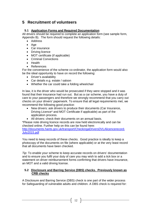# **5 Recruitment of volunteers**

#### **5.1 Application Forms and Required Documentation**

All drivers should be required to complete an application form (see sample form, Appendix B). The form should request the following details:

- Address
- $\bullet$  Age
- Car insurance
- Driving licence
- MOT certificate (if applicable)
- Criminal Convictions
- Health
- References

For the convenience of the scheme co-ordinator, the application form would also be the ideal opportunity to have on record the following:

- Driver's availability
- Car details e.g. estate / saloon
- Whether the car could take a folding wheelchair

In law, it is the driver who would be prosecuted if they were stopped and it was found that their insurance had run out. But as a car scheme, you have a duty of care to your passengers and therefore we strongly recommend that you carry out checks on your drivers' paperwork. To ensure that all legal requirements met, we recommend the following good practice:

- New drivers: ask drivers to produce their documents (Car Insurance, Driving Licence\* and MOT Certificate if applicable) as part of the application process.
- All drivers: check their documents on an annual basis.

\*Please note driving licence records are now held electronically and can be checked online. Further help on this can be found here: <http://documents.hants.gov.uk/transport/CheckingaDriversDVLAlicencerecord->July2015.pdf

You need to keep records of these checks. Good practice is ideally to keep a photocopy of the documents on file (where applicable) or at the very least record that all documents have been checked.

*Tip:* To enable your scheme to keep accurate records on drivers' documentation and to ensure you fulfil your duty of care you may wish to add a tick box or a statement on driver reimbursement forms confirming that drivers have insurance, an MOT and a valid driving license.

#### **5.2 Disclosure and Barring Service (DBS) checks. Previously known as CRB checks**

A Disclosure and Barring Service (DBS) check is one part of the wider process for Safeguarding of vulnerable adults and children. A DBS check is required for: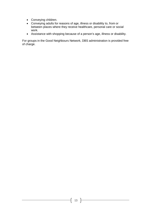- Conveying children.
- Conveying adults for reasons of age, illness or disability to, from or between places where they receive healthcare, personal care or social work.
- Assistance with shopping because of a person's age, illness or disability.

For groups in the Good Neighbours Network, DBS administration is provided free of charge.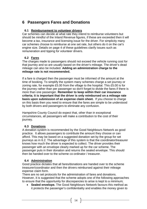# **6 Passengers Fares and Donations**

#### **6.1 Reimbursement to volunteer drivers**

Car schemes can decide at what rate they intend to reimburse volunteers but should be mindful of the Inland Revenue figures, if these are exceeded then it will become a tax, insurance and licensing issue for the driver. For simplicity many car schemes choose to reimburse at one set rate, but others do it on the car's engine size. Details on page 4 of these guidelines clarify issues such as remuneration and tipping for volunteer drivers.

#### **6.2 Fares**

The charges made to passengers should not exceed the vehicle running cost for that journey and so are usually based on the driver's mileage. The driver's dead mileage can also be included. **Adding an administration charge to the mileage rate is not recommended.**

If a fare is charged then the passenger must be informed of the amount at the time of booking. To simplify the system many schemes charge a set journey or zoning rate, for example £5.00 from the village to the hospital. This £5.00 is for the journey rather than per passenger so don't forget to divide the fares if there is more than one passenger. **Remember to keep within their car insurance criteria; it is important that the driver is only reimbursed on a mileage rate basis upon submission of an expense claim sheet.** If you choose to charge on this basis then you need to ensure that the fares are simple to be understood by both drivers and passengers to eliminate any confusion.

Hampshire County Council do expect that, other than in exceptional circumstances, all passengers will make a contribution to the cost of their journey.

#### **6.3 Donations**

A donation system is recommended by the Good Neighbours Network as good practice. It allows passengers to contribute the amount they choose or can afford. This may be based on a suggested donation set by the group for set journeys as in 6.2. The advantage of this system is that the coordinator/treasurer knows how much the driver is expected to collect. The driver provides their passenger with an envelope clearly marked up for the car scheme. The passenger puts in their donation and returns the sealed envelope. This should then be handed over to the scheme co-ordinator / treasurer.

#### **6.4 Administration**

Good practice dictates that all fares/donations are handed over to the scheme treasurer/coordinator and then the drivers reimbursed against their mileage expense claim form.

There are no set protocols for the administration of fares and donations. However, it is suggested that the scheme adopts one of the following approaches to ensure that the opportunity for discrepancies to arise is kept to a minimum;

 **Sealed envelope.** The Good Neighbours Network favours this method as it protects the passenger's confidentiality and enables the money given to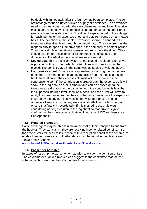be dealt with immediately after the journey has been completed. The coordinator gives the volunteer driver a supply of envelopes. The envelopes need to be clearly marked with the car scheme name and logo. The driver makes an envelope available to each client and ensures that the client is aware of how the system works. The driver keeps a record of the mileage for each journey on an expenses sheet and gets reimbursed on a mileage basis. The donations in the sealed envelopes should be handed to the treasurer either directly or through the co-ordinator. The treasurer has the responsibility to open all the envelopes in the company of another person. They then calculate the driver expenses and reimburse the driver. They should also prepare accounts for all contributions, expenses and donations at the AGM in the annual treasurer's report.

- **Sealed box.** This is a similar system to the sealed envelope. Each driver is provided with a box into which contributions and donations can be placed. The box is treated in the same way as sealed envelopes above.
- **Log book or sheet.** Drivers are responsible for claiming their expenses direct from the contribution made by the client and entering it into a log book. In most cases the expenses claimed will be the same as the contribution given. If the contribution is greater than the expenses this will show in the log book as a plus amount and can be passed on to the treasurer as a donation to the car scheme. If the contribution is less than the expenses incurred it will show as a deficit and the driver will have to notify the co-ordinator so that the car scheme can reimburse the expenses incurred by the driver. It is advisable that volunteer drivers and coordinators keep a record of any excess or shortfall reconciled in order to ensure that financial records tally. If this method is used it is worth considering adding a column to the log sheet so that drivers sign to confirm that they have a current driving license, an MOT and insurance. See Appendix C.

#### **6.5 Hospital Transport**

Some passengers may be able to reclaim the cost of their transport to and from the hospital. They can claim if they are receiving income related benefits. If so, then the drivers will need to issue them with a receipt on behalf of the scheme, to enable them to make a claim. Further details can be found in the Healthcare Travel Costs Scheme.

[www.nhs.uk/NHSEngland/Healthcosts/Pages/Travelcosts.aspx](http://www.nhs.uk/NHSEngland/Healthcosts/Pages/Travelcosts.aspx)

#### **6.6 Passenger hardship**

In cases of hardship the car scheme may wish to waiver the donation or fare. The co-ordinator or driver involved can suggest to the committee that the car scheme might cover the clients' expenses from its funds.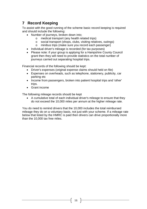# **7 Record Keeping**

To assist with the good running of the scheme basic record keeping is required and should include the following:

- Number of journeys, broken down into;
	- o medical transport (any health related trips)
	- o social transport (shops, clubs, visiting relatives, outings)
	- o minibus trips (make sure you record each passenger)
- Individual driver's mileage is recorded (for tax purposes)
- Please note: if your group is applying for a Hampshire County Council grant then they will need to provide statistics on the total number of journeys carried out separating hospital trips.

Financial records of the following should be kept:

- Driver's expenses (original expense claims should held on file)
- Expenses on overheads, such as telephone, stationery, publicity, car parking etc
- Income from passengers, broken into patient hospital trips and 'other' trips.
- Grant income

The following mileage records should be kept

 A cumulative total of each individual driver's mileage to ensure that they do not exceed the 10,000 miles per annum at the higher mileage rate.

You do need to remind drivers that the 10,000 includes the total reimbursed mileage they do on a voluntary basis, not just with your scheme. If a mileage rate below that listed by the HMRC is paid then drivers can drive proportionally more than the 10,000 tax free miles.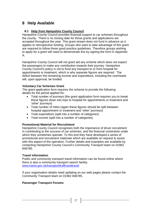# **8 Help Available**

#### **8.1 Help from Hampshire County Council**

Hampshire County Council provides financial support to car schemes throughout the county. There is no closing date for these grants and applications are accepted throughout the year. This grant stream does not fund in advance as it applies to retrospective funding. Groups who want to take advantage of this grant are required to follow these good practice guidelines. Therefore groups wishing to apply for a grant will need to demonstrate this by signing the form in Appendix A.

Hampshire County Council will not grant aid any scheme which does not expect the passengers to make any contribution towards their journey. Hampshire County Council's policy is not to fund any transport to or from hospital for appointments or treatment, which is why separate figures are required. The deficit between the remaining income and expenditure, including the overheads will, upon approval, be funded.

#### **Voluntary Car Schemes Grant**

The grant application form requires the scheme to provide the following details for the period applied for;

- Total number of journeys (the grant application form requires you to break these figures down into trips to hospital for appointments or treatment and 'other' journeys)
- Total number of miles (again these figures should be split between hospital appointment or treatment and 'other' journeys)
- Total expenditure (split into a number of categories)
- Total income (split into a number of categories)

#### **Promotional Material for Recruitment**

Hampshire County Council recognises both the importance of driver recruitment in contributing to the success of car schemes, and the financial constraints under which they sometimes operate. To this end they have developed a series of promotional and recruitment materials which are available on request to assist with this aspect of the operation. Further details and examples are available by contacting Hampshire County Council's Community Transport team on 01962 846785.

#### **Travel information**

Public and community transport travel information can be found online where there is also a community transport search facility: [www.hants.gov.uk/transport/trafficandtravel](http://www.hants.gov.uk/transport/trafficandtravel)

If your organisation details need updating on our web pages please contact the Community Transport team on 01962 846785.

#### **Passenger Transport Forums**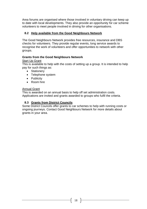Area forums are organised where those involved in voluntary driving can keep up to date with local developments. They also provide an opportunity for car scheme volunteers to meet people involved in driving for other organisations.

#### **8.2 Help available from the Good Neighbours Network**

The Good Neighbours Network provides free resources, insurance and DBS checks for volunteers. They provide regular events, long service awards to recognise the work of volunteers and offer opportunities to network with other groups.

#### **Grants from the Good Neighbours Network**

#### **Start Up Grant**

This is available to help with the costs of setting up a group. It is intended to help pay for such things as:

- Stationery
- Telephone system
- Publicity
- Room hire

#### Annual Grant

This is awarded on an annual basis to help off set administration costs. Applications are invited and grants awarded to groups who fulfil the criteria.

#### **8.3 Grants from District Councils**

Some District Councils offer grants to car schemes to help with running costs or ongoing journeys. Contact Good Neighbours Network for more details about grants in your area.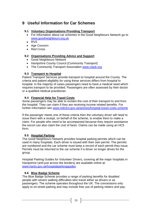# **9 Useful Information for Car Schemes**

#### **9.1 Voluntary Organisations Providing Transport**

- For information about car schemes in the Good Neighbours Network go to [www.goodneighbours.org.uk](http://www.goodneighbours.org.uk)
- RVS
- Age Concern
- Red Cross

#### **9.2 Organisations Providing Advice and Support**

- Good Neighbours Network
- Hampshire County Council (Community Transport)
- The Community Transport Association [www.ctauk.org](http://www.ctauk.org)

#### **9.3 Transport to Hospital**

Patient Transport Services provide transport to hospital around the County. The criteria and patient eligibility for using these services differs from hospital to hospital. In the majority of cases passengers need to have a medical need which requires transport to be provided. Passengers are often assessed by their doctor or a qualified medical practitioner.

#### **9.4 Financial Help for Travel Costs**

Some passengers may be able to reclaim the cost of their transport to and from the hospital. They can claim if they are receiving income related benefits. For further information see [www.nidirect.gov.uk/articles/hospital-travel-costs-scheme](http://www.nidirect.gov.uk/articles/hospital-travel-costs-scheme)

If the passenger meets one of these criteria then the voluntary driver will need to issue them with a receipt, on behalf of the scheme, to enable them to make a claim. For people who need to be accompanied because they require assistance the escort can also claim the cost of fares. Claims can be made using an HC5 form.

#### **9.5 Hospital Parking**

The Good Neighbours Network provides hospital parking permits which can be used in many hospitals. Each driver is issued with their own permit. The permits are numbered and the car scheme must keep a record of each permit they issue. Permits must be returned to the car scheme if a driver no longer drives for the group.

Hospital Parking Guides for Volunteer Drivers, covering all the major hospitals in Hampshire (and just across the borders) are available online at: [www.hants.gov.uk/hospitalparkingguides](http://www.hants.gov.uk/hospitalparkingguides)

#### **9.6 Blue Badge Scheme**

The Blue Badge Scheme provides a range of parking benefits for disabled people with severe walking difficulties who travel either as drivers or as passengers. The scheme operates throughout the UK. The concessions only apply to on-street parking and may include free use of parking meters and pay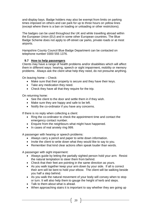and-display bays. Badge holders may also be exempt from limits on parking times imposed on others and can park for up to three hours on yellow lines (except where there is a ban on loading or unloading or other restrictions).

The badges can be used throughout the UK and while travelling abroad within the European Union (EU) and in some other European countries. The Blue Badge Scheme does not apply to off-street car parks, private roads or at most airports.

Hampshire County Council Blue Badge Department can be contacted on telephone number 0300 555 1376.

#### **9.7 How to help passengers**

Clients may have a range of health problems and/or disabilities which will affect them in different ways: hearing, speech or sight impairment, mobility or memory problems. Always ask the client what help they need, do not presume anything.

On leaving home – Check:

- Make sure that their property is secure and they have their keys.
- Take any medication they need.
- Check they have all that they require for the trip.

On returning home:

- See the client to the door and settle them in if they wish.
- Make sure they are happy and safe to be left.
- Notify the co-ordinator if you have any concerns.

If there is no reply when collecting a client:

- Ring the co-ordinator to check the appointment time and contact the emergency contact number.
- Enquire from the neighbours what might have happened.
- In cases of real anxiety ring 999.

A passenger with hearing or speech problems:

- Always carry a pencil and paper to write down information.
- Invite the client to write down what they would like to say to you.
- Remember that kind clear actions often speak louder than words.

A passenger with sight impairment:

- Always guide by letting the partially sighted person hold your arm. Resist the natural temptation to steer them from behind.
- Check that their feet are pointing in the same direction as yours.
- As you walk together keep your arm down by your side. If all is correct their arm will be bent to hold your elbow. The client will be walking beside you half a step behind.
- As you walk the natural movement of your body will convey when to stop or turn. It will also help them to gauge the height of kerb and steps.
- Talk to them about what is ahead.
- When approaching stairs it is important to say whether they are going up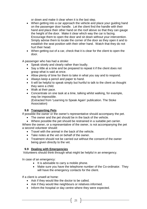or down and make it clear when it is the last step.

- When getting into a car approach the vehicle and place your guiding hand on the passenger door handle. Let the client find the handle with their hand and place their other hand on the roof above so that they can gauge the height of the door. Make it clear which way the car is facing. Encourage them to open the door and sit down without your intervention. Simply advise them to locate the corner of the door as they open it and to establish the seat position with their other hand. Watch that they do not hurt their head.
- When getting out of a car, check that it is clear for the client to open the door.

A passenger who has had a stroke:

- Speak slowly and clearly rather than loudly.
- Say a little at a time and be prepared to repeat it if the client does not grasp what is said at once.
- Allow plenty of time for them to take in what you say and to respond.
- Always keep a pencil and paper to hand.
- It will be helpful to speak simply but hurtful to talk to the client as thought they were a child.
- Walk at their pace.
- Concentrate on one task at a time, talking whilst walking, for example, may be impossible. (Extracted from 'Learning to Speak Again' publication. The Stoke Association)

#### **9.8 Transporting Pets**

If possible the owner or the owner's representative should accompany the pet.

- The owner and the pet should be in the back of the vehicle.
- Where possible the pet should be restrained in a suitable pet carrier.

Where the owner, or a representative of the owner, is not accompanying the pet a second volunteer should:

- Travel with the animal in the back of the vehicle.
- Take notes at the vet on behalf of the owner.
- Treatment should not be carried out without the consent of the owner being given directly to the vet.

#### **9.9 Dealing with Emergencies**

Volunteers should think through what might be helpful in an emergency.

In case of an emergency:

- It is advisable to carry a mobile phone.
- Make sure you have the telephone number of the Co-ordinator. They will have the emergency contacts for the client.

If a client is unwell at home:

- Ask if they would like the doctor to be called.
- Ask if they would like neighbours or relatives informed.
- Inform the hospital or day centre where they were expected.

21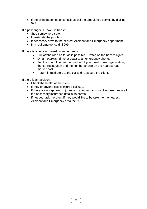• If the client becomes unconscious call the ambulance service by dialling 999.

If a passenger is unwell in transit:

- Stop somewhere safe.
- Investigate the problem.
- If necessary drive to the nearest Accident and Emergency department.
- In a real emergency dial 999.

If there is a vehicle breakdown/emergency:

- Pull off the road as far as is possible. Switch on the hazard lights.
- On a motorway, drive or coast to an emergency phone.
- Tell the control centre the number of your breakdown organisation, the car registration and the number shown on the nearest road marker post.
- Return immediately to the car and re-assure the client.

If there is an accident:

- Check the health of the client.
- If they or anyone else is injured call 999.
- If there are no apparent injuries and another car is involved, exchange all the necessary insurance details as normal.
- If needed, ask the client if they would like to be taken to the nearest Accident and Emergency or to their GP.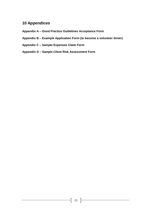## **10 Appendices**

- **Appendix A – Good Practice Guidelines Acceptance Form**
- **Appendix B – Example Application Form (to become a volunteer driver)**
- **Appendix C – Sample Expenses Claim Form**
- **Appendix D – Sample Client Risk Assessment Form**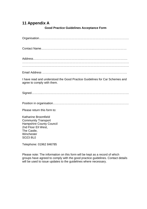# **11 Appendix A**

#### **Good Practice Guidelines Acceptance Form**

| I have read and understood the Good Practice Guidelines for Car Schemes and<br>agree to comply with them. |
|-----------------------------------------------------------------------------------------------------------|
|                                                                                                           |
|                                                                                                           |
| Please return this form to:                                                                               |
| Katharine Broomfield                                                                                      |
| <b>Community Transport</b>                                                                                |
| <b>Hampshire County Council</b>                                                                           |
| 2nd Floor Ell West,<br>The Castle,                                                                        |
|                                                                                                           |

Telephone: 01962 846785

Winchester SO23 8UJ

Please note: The information on this form will be kept as a record of which groups have agreed to comply with the good practice guidelines. Contact details will be used to issue updates to the guidelines where necessary.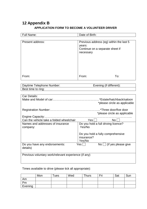## **12 Appendix B APPLICATION FORM TO BECOME A VOLUNTEER DRIVER**

| Full Name:                                                                                                            | Date of Birth: |     |  |  |
|-----------------------------------------------------------------------------------------------------------------------|----------------|-----|--|--|
|                                                                                                                       |                |     |  |  |
| Previous address (eg) within the last 5<br>Present address:<br>years:<br>Continue on a separate sheet if<br>necessary |                |     |  |  |
|                                                                                                                       |                |     |  |  |
| From:                                                                                                                 | From:          | To: |  |  |
|                                                                                                                       |                |     |  |  |
| Daytime Telephone Number:<br>Evening (if different):                                                                  |                |     |  |  |
| Best time to ring:                                                                                                    |                |     |  |  |
|                                                                                                                       |                |     |  |  |

| Car Details:                                         |                                        |
|------------------------------------------------------|----------------------------------------|
|                                                      | .*Estate/hatchback/saloon              |
|                                                      | *please circle as applicable           |
|                                                      |                                        |
|                                                      |                                        |
|                                                      |                                        |
|                                                      | *please circle as applicable           |
|                                                      |                                        |
| Can the vehicle take a folded wheelchair             | Yes <br>No l                           |
|                                                      |                                        |
| Names and addresses of insurance                     | Do you hold a full driving licence?    |
| company:                                             | Yes/No                                 |
|                                                      |                                        |
|                                                      |                                        |
|                                                      | Do you hold a fully comprehensive      |
|                                                      | insurance?                             |
|                                                      | Yes/No                                 |
| Do you have any endorsements:                        | Yes l<br>$No \cup$ (if yes please give |
| details)                                             |                                        |
|                                                      |                                        |
|                                                      |                                        |
| Previous voluntary work/relevant experience (if any) |                                        |
|                                                      |                                        |
|                                                      |                                        |
|                                                      |                                        |

Times available to drive (please tick all appropriate):

|         | Mon | Tues | Wed | <b>Thurs</b> | Fri | Sat | Sun |
|---------|-----|------|-----|--------------|-----|-----|-----|
| Am      |     |      |     |              |     |     |     |
| Pm      |     |      |     |              |     |     |     |
| Evening |     |      |     |              |     |     |     |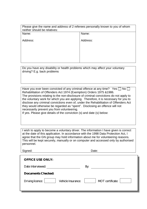| Please give the name and address of 2 referees personally known to you of whom<br>neither should be relatives: |          |
|----------------------------------------------------------------------------------------------------------------|----------|
| Name:                                                                                                          | Name:    |
| Address:                                                                                                       | Address: |
|                                                                                                                |          |
|                                                                                                                |          |
|                                                                                                                |          |

Do you have any disability or health problems which may affect your voluntary driving? E.g. back problems

Have you ever been convicted of any criminal offence at any time? Yes  $\Box$  No  $\Box$ Rehabilitation of Offenders Act 1974 (Exemption) Orders 1975 &1986. The provisions relating to the non-disclosure of criminal convictions do not apply to the voluntary work for which you are applying. Therefore, it is necessary for you to disclose any criminal convictions even of, under the Rehabilitation of Offenders Act they would otherwise be regarded as "spent". Disclosing an offence will not necessarily prevent you from volunteering.

If yes. Please give details of the conviction (s) and date (s) below:

I wish to apply to become a voluntary driver. The information I have given is correct at the date of this application. In accordance with the 1998 Data Protection Act, I agree that the GN group may hold information about me for volunteering reasons. This will be kept securely, manually or on computer and accessed only by authorised personnel.

Signed: Date:

| <b>OFFICE USE ONLY:</b>                |                  |
|----------------------------------------|------------------|
| Date Interviewed:                      | By:              |
| <b>Documents Checked:</b>              |                  |
| Driving licence:<br>Vehicle Insurance: | MOT certificate: |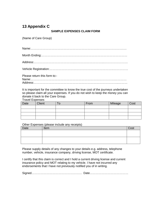# **13 Appendix C**

#### **SAMPLE EXPENSES CLAIM FORM**

(Name of Care Group)

Vehicle Registration:………………………………………………………..……………

Please return this form to:-

Name:………………………………………………………………………….………… Address:…………………………………………………………………………..………

It is important for the committee to know the true cost of the journeys undertaken so please claim all your expenses. If you do not wish to keep the money you can donate it back to the Care Group.

Travel Expenses

| Date | <b>Client</b> | U | From | Mileage | Cost |
|------|---------------|---|------|---------|------|
|      |               |   |      |         |      |
|      |               |   |      |         |      |
|      |               |   |      |         |      |
|      |               |   |      |         |      |

Other Expenses (please include any receipts)

| Date | Item | Cost |
|------|------|------|
|      |      |      |
|      |      |      |
|      |      |      |
|      |      |      |

Please supply details of any changes to your details e.g. address, telephone number, vehicle, insurance company, driving license, MOT certificate.

I certify that this claim is correct and I hold a current driving license and current insurance policy and MOT relating to my vehicle. I have not incurred any endorsements that I have not previously notified you of in writing.

Signed…………………………………………… Date…………………………………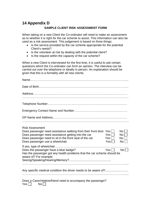#### **14 Appendix D SAMPLE CLIENT RISK ASSESSMENT FORM**

When taking on a new Client the Co-ordinator will need to make an assessment as to whether it is right for the car scheme to assist. This information can also be used as a risk assessment This judgement is based on three things:

- Is the service provided by the car scheme appropriate for the potential Client's needs?
- Is the volunteer at risk by dealing with the potential client?
- Is the request within the capacity of the car scheme?

When a new Client is interviewed for the first time, it is useful to ask certain questions which the Co-ordinator can form an opinion. The interview can be carried out over the telephone or ideally in person. An explanation should be given that this is a formality with all new clients.

| <b>Risk Assessment</b><br>Does passenger need assistance walking from their front door Yes<br>No<br>Does passenger need assistance getting into the car<br>Yes <br>No <sub>1</sub><br>Does passenger need to sit in the front seat of the car<br>Yes    <br>No l<br>Does passenger use a wheelchair<br>$Yes \Box$<br>No <sub>1</sub> |
|--------------------------------------------------------------------------------------------------------------------------------------------------------------------------------------------------------------------------------------------------------------------------------------------------------------------------------------|
| Yes $\Box$<br>No<br>Does the passenger have a blue badge?<br>Has the passenger got any health problems that the car scheme should be<br>aware of? For example                                                                                                                                                                        |
|                                                                                                                                                                                                                                                                                                                                      |
| Does a Carer/relative/friend need to accompany the passenger?<br>Yes <br>No <sub>1</sub>                                                                                                                                                                                                                                             |